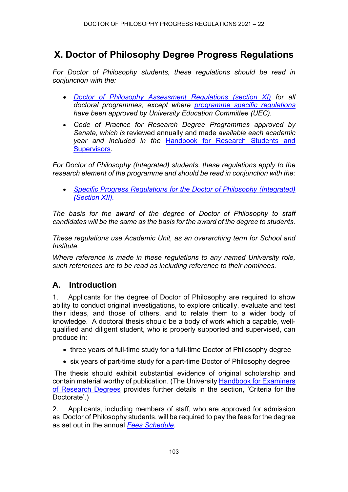# **X. Doctor of Philosophy Degree Progress Regulations**

*For Doctor of Philosophy students, these regulations should be read in conjunction with the:*

- *[Doctor of Philosophy Assessment Regulations \(section XI\)](https://www.ncl.ac.uk/regulations/docs/) for all doctoral programmes, except where [programme specific regulations](https://www.ncl.ac.uk/regulations/programme/) have been approved by University Education Committee (UEC).*
- *Code of Practice for Research Degree Programmes approved by Senate, which is* reviewed annually and made *available each academic year and included in the* [Handbook for Research Students and](https://www.ncl.ac.uk/student-progress/pgr/publications/)  [Supervisors](https://www.ncl.ac.uk/student-progress/pgr/publications/)*.*

*For Doctor of Philosophy (Integrated) students, these regulations apply to the research element of the programme and should be read in conjunction with the:* 

• *[Specific Progress Regulations for the Doctor of Philosophy \(Integrated\)](https://www.ncl.ac.uk/regulations/docs/) [\(Section XII\).](https://www.ncl.ac.uk/regulations/docs/)*

*The basis for the award of the degree of Doctor of Philosophy to staff candidates will be the same as the basis for the award of the degree to students.*

*These regulations use Academic Unit, as an overarching term for School and Institute.*

*Where reference is made in these regulations to any named University role, such references are to be read as including reference to their nominees.*

#### **A. Introduction**

1. Applicants for the degree of Doctor of Philosophy are required to show ability to conduct original investigations, to explore critically, evaluate and test their ideas, and those of others, and to relate them to a wider body of knowledge. A doctoral thesis should be a body of work which a capable, wellqualified and diligent student, who is properly supported and supervised, can produce in:

- three years of full-time study for a full-time Doctor of Philosophy degree
- six years of part-time study for a part-time Doctor of Philosophy degree

The thesis should exhibit substantial evidence of original scholarship and contain material worthy of publication. (The University [Handbook for Examiners](https://www.ncl.ac.uk/students/progress/student-resources/PGR/Publications.htm)  [of Research Degrees](https://www.ncl.ac.uk/students/progress/student-resources/PGR/Publications.htm) provides further details in the section, 'Criteria for the Doctorate'.)

2. Applicants, including members of staff, who are approved for admission as Doctor of Philosophy students, will be required to pay the fees for the degree as set out in the annual *[Fees Schedule](https://www.ncl.ac.uk/regulations/fees/)*.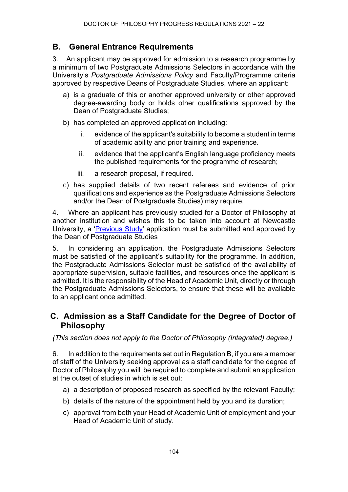### **B. General Entrance Requirements**

3. An applicant may be approved for admission to a research programme by a minimum of two Postgraduate Admissions Selectors in accordance with the University's *Postgraduate Admissions Policy* and Faculty/Programme criteria approved by respective Deans of Postgraduate Studies, where an applicant:

- a) is a graduate of this or another approved university or other approved degree-awarding body or holds other qualifications approved by the Dean of Postgraduate Studies;
- b) has completed an approved application including:
	- i. evidence of the applicant's suitability to become a student in terms of academic ability and prior training and experience.
	- ii. evidence that the applicant's English language proficiency meets the published requirements for the programme of research;
	- iii. a research proposal, if required.
- c) has supplied details of two recent referees and evidence of prior qualifications and experience as the Postgraduate Admissions Selectors and/or the Dean of Postgraduate Studies) may require.

4. Where an applicant has previously studied for a Doctor of Philosophy at another institution and wishes this to be taken into account at Newcastle University, a ['Previous Study'](https://www.ncl.ac.uk/media/wwwnclacuk/studentprogress/files/pgr/2020/FinalPreviousStudyApplicationMarch17.pdf) application must be submitted and approved by the Dean of Postgraduate Studies

5. In considering an application, the Postgraduate Admissions Selectors must be satisfied of the applicant's suitability for the programme. In addition, the Postgraduate Admissions Selector must be satisfied of the availability of appropriate supervision, suitable facilities, and resources once the applicant is admitted. It is the responsibility of the Head of Academic Unit, directly or through the Postgraduate Admissions Selectors, to ensure that these will be available to an applicant once admitted.

### **C. Admission as a Staff Candidate for the Degree of Doctor of Philosophy**

*(This section does not apply to the Doctor of Philosophy (Integrated) degree.)*

6. In addition to the requirements set out in Regulation B, if you are a member of staff of the University seeking approval as a staff candidate for the degree of Doctor of Philosophy you will be required to complete and submit an application at the outset of studies in which is set out:

- a) a description of proposed research as specified by the relevant Faculty;
- b) details of the nature of the appointment held by you and its duration;
- c) approval from both your Head of Academic Unit of employment and your Head of Academic Unit of study.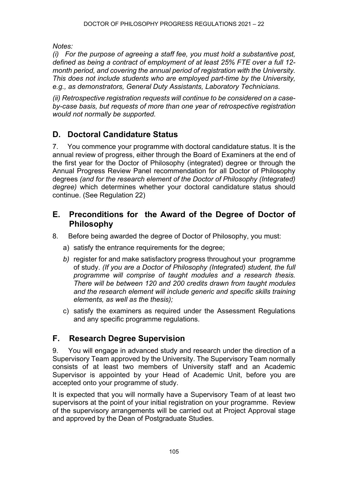*Notes:*

*(i) For the purpose of agreeing a staff fee, you must hold a substantive post, defined as being a contract of employment of at least 25% FTE over a full 12 month period, and covering the annual period of registration with the University. This does not include students who are employed part-time by the University, e.g., as demonstrators, General Duty Assistants, Laboratory Technicians.*

*(ii) Retrospective registration requests will continue to be considered on a caseby-case basis, but requests of more than one year of retrospective registration would not normally be supported.*

# **D. Doctoral Candidature Status**

7. You commence your programme with doctoral candidature status. It is the annual review of progress, either through the Board of Examiners at the end of the first year for the Doctor of Philosophy (integrated) degree or through the Annual Progress Review Panel recommendation for all Doctor of Philosophy degrees *(and for the research element of the Doctor of Philosophy (Integrated) degree)* which determines whether your doctoral candidature status should continue. (See Regulation 22)

### **E. Preconditions for the Award of the Degree of Doctor of Philosophy**

- 8. Before being awarded the degree of Doctor of Philosophy, you must:
	- a) satisfy the entrance requirements for the degree;
	- *b)* register for and make satisfactory progress throughout your programme of study. *(If you are a Doctor of Philosophy (Integrated) student, the full programme will comprise of taught modules and a research thesis. There will be between 120 and 200 credits drawn from taught modules and the research element will include generic and specific skills training elements, as well as the thesis);*
	- c) satisfy the examiners as required under the Assessment Regulations and any specific programme regulations.

# **F. Research Degree Supervision**

9. You will engage in advanced study and research under the direction of a Supervisory Team approved by the University. The Supervisory Team normally consists of at least two members of University staff and an Academic Supervisor is appointed by your Head of Academic Unit, before you are accepted onto your programme of study.

It is expected that you will normally have a Supervisory Team of at least two supervisors at the point of your initial registration on your programme. Review of the supervisory arrangements will be carried out at Project Approval stage and approved by the Dean of Postgraduate Studies.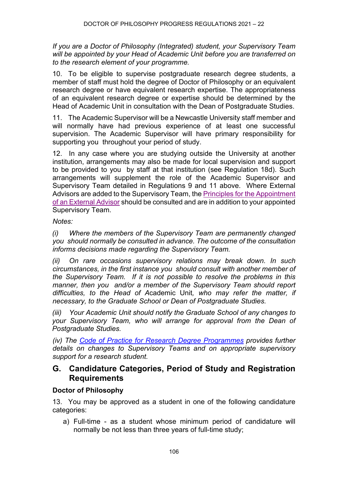*If you are a Doctor of Philosophy (Integrated) student, your Supervisory Team will be appointed by your Head of Academic Unit before you are transferred on to the research element of your programme.*

10. To be eligible to supervise postgraduate research degree students, a member of staff must hold the degree of Doctor of Philosophy or an equivalent research degree or have equivalent research expertise. The appropriateness of an equivalent research degree or expertise should be determined by the Head of Academic Unit in consultation with the Dean of Postgraduate Studies.

11. The Academic Supervisor will be a Newcastle University staff member and will normally have had previous experience of at least one successful supervision. The Academic Supervisor will have primary responsibility for supporting you throughout your period of study.

12. In any case where you are studying outside the University at another institution, arrangements may also be made for local supervision and support to be provided to you by staff at that institution (see Regulation 18d). Such arrangements will supplement the role of the Academic Supervisor and Supervisory Team detailed in Regulations 9 and 11 above. Where External Advisors are added to the Supervisory Team, th[e Principles for the Appointment](https://www.ncl.ac.uk/media/wwwnclacuk/studentprogress/files/pgr/2020/PrinciplesfortheAppointmentofanExternalPGRAdvisorNov18.pdf)  [of an External Advisor](https://www.ncl.ac.uk/media/wwwnclacuk/studentprogress/files/pgr/2020/PrinciplesfortheAppointmentofanExternalPGRAdvisorNov18.pdf) should be consulted and are in addition to your appointed Supervisory Team.

*Notes:*

*(i) Where the members of the Supervisory Team are permanently changed you should normally be consulted in advance. The outcome of the consultation informs decisions made regarding the Supervisory Team.* 

*(ii) On rare occasions supervisory relations may break down. In such circumstances, in the first instance you should consult with another member of the Supervisory Team. If it is not possible to resolve the problems in this manner, then you and/or a member of the Supervisory Team should report difficulties, to the Head of A*cademic Unit*, who may refer the matter, if necessary, to the Graduate School or Dean of Postgraduate Studies.* 

*(iii) Your Academic Unit should notify the Graduate School of any changes to your Supervisory Team, who will arrange for approval from the Dean of Postgraduate Studies.*

*(iv) The [Code of Practice for Research Degree Programmes](https://www.ncl.ac.uk/student-progress/pgr/publications/) provides further details on changes to Supervisory Teams and on appropriate supervisory support for a research student.*

### **G. Candidature Categories, Period of Study and Registration Requirements**

#### **Doctor of Philosophy**

13. You may be approved as a student in one of the following candidature categories:

a) Full-time - as a student whose minimum period of candidature will normally be not less than three years of full-time study;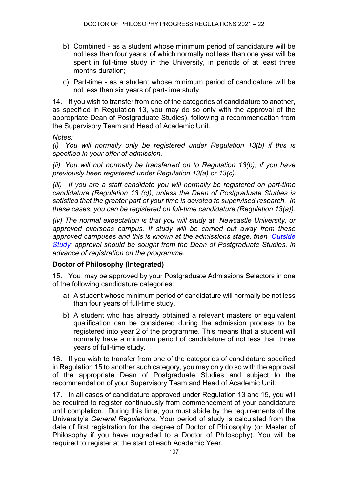- b) Combined as a student whose minimum period of candidature will be not less than four years, of which normally not less than one year will be spent in full-time study in the University, in periods of at least three months duration;
- c) Part-time as a student whose minimum period of candidature will be not less than six years of part-time study.

14. If you wish to transfer from one of the categories of candidature to another, as specified in Regulation 13, you may do so only with the approval of the appropriate Dean of Postgraduate Studies), following a recommendation from the Supervisory Team and Head of Academic Unit.

*Notes:*

*(i) You will normally only be registered under Regulation 13(b) if this is specified in your offer of admission.* 

*(ii) You will not normally be transferred on to Regulation 13(b), if you have previously been registered under Regulation 13(a) or 13(c).*

*(iii) If you are a staff candidate you will normally be registered on part-time candidature (Regulation 13 (c)), unless the Dean of Postgraduate Studies is satisfied that the greater part of your time is devoted to supervised research. In these cases, you can be registered on full-time candidature (Regulation 13(a)).*

*(iv) The normal expectation is that you will study at Newcastle University, or approved overseas campus. If study will be carried out away from these approved campuses and this is known at the admissions stage, then ['Outside](https://www.ncl.ac.uk/student-progress/pgr/circumstances/)  [Study'](https://www.ncl.ac.uk/student-progress/pgr/circumstances/) approval should be sought from the Dean of Postgraduate Studies, in advance of registration on the programme.*

#### **Doctor of Philosophy (Integrated)**

15. You may be approved by your Postgraduate Admissions Selectors in one of the following candidature categories:

- a) A student whose minimum period of candidature will normally be not less than four years of full-time study.
- b) A student who has already obtained a relevant masters or equivalent qualification can be considered during the admission process to be registered into year 2 of the programme. This means that a student will normally have a minimum period of candidature of not less than three years of full-time study.

16. If you wish to transfer from one of the categories of candidature specified in Regulation 15 to another such category, you may only do so with the approval of the appropriate Dean of Postgraduate Studies and subject to the recommendation of your Supervisory Team and Head of Academic Unit.

17. In all cases of candidature approved under Regulation 13 and 15, you will be required to register continuously from commencement of your candidature until completion. During this time, you must abide by the requirements of the University's *General Regulations*. Your period of study is calculated from the date of first registration for the degree of Doctor of Philosophy (or Master of Philosophy if you have upgraded to a Doctor of Philosophy). You will be required to register at the start of each Academic Year.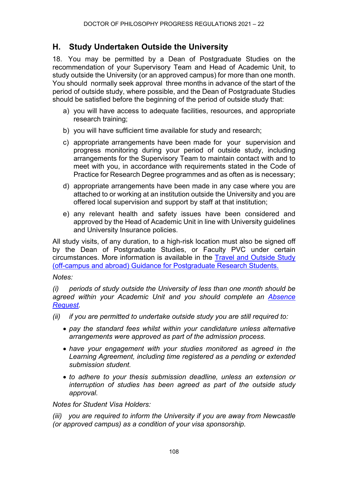### **H. Study Undertaken Outside the University**

18. You may be permitted by a Dean of Postgraduate Studies on the recommendation of your Supervisory Team and Head of Academic Unit, to study outside the University (or an approved campus) for more than one month. You should normally seek approval three months in advance of the start of the period of outside study, where possible, and the Dean of Postgraduate Studies should be satisfied before the beginning of the period of outside study that:

- a) you will have access to adequate facilities, resources, and appropriate research training;
- b) you will have sufficient time available for study and research;
- c) appropriate arrangements have been made for your supervision and progress monitoring during your period of outside study, including arrangements for the Supervisory Team to maintain contact with and to meet with you, in accordance with requirements stated in the Code of Practice for Research Degree programmes and as often as is necessary;
- d) appropriate arrangements have been made in any case where you are attached to or working at an institution outside the University and you are offered local supervision and support by staff at that institution;
- e) any relevant health and safety issues have been considered and approved by the Head of Academic Unit in line with University guidelines and University Insurance policies.

All study visits, of any duration, to a high-risk location must also be signed off by the Dean of Postgraduate Studies, or Faculty PVC under certain circumstances. More information is available in the [Travel and Outside Study](https://www.ncl.ac.uk/media/wwwnclacuk/studentprogress/files/pgr/2020/PGR%20Student%20Travel%20Guidance%20December%202020.pdf)  [\(off-campus and abroad\) Guidance for Postgraduate Research Students.](https://www.ncl.ac.uk/media/wwwnclacuk/studentprogress/files/pgr/2020/PGR%20Student%20Travel%20Guidance%20December%202020.pdf)

#### *Notes:*

*(i) periods of study outside the University of less than one month should be agreed within your Academic Unit and you should complete an [Absence](https://www.ncl.ac.uk/student-progress/registration/s3p/absence-request/)  [Request.](https://www.ncl.ac.uk/student-progress/registration/s3p/absence-request/)*

- *(ii) if you are permitted to undertake outside study you are still required to:*
	- *pay the standard fees whilst within your candidature unless alternative arrangements were approved as part of the admission process.*
	- *have your engagement with your studies monitored as agreed in the Learning Agreement, including time registered as a pending or extended submission student.*
	- *to adhere to your thesis submission deadline, unless an extension or interruption of studies has been agreed as part of the outside study approval.*

#### *Notes for Student Visa Holders:*

*(iii) you are required to inform the University if you are away from Newcastle (or approved campus) as a condition of your visa sponsorship.*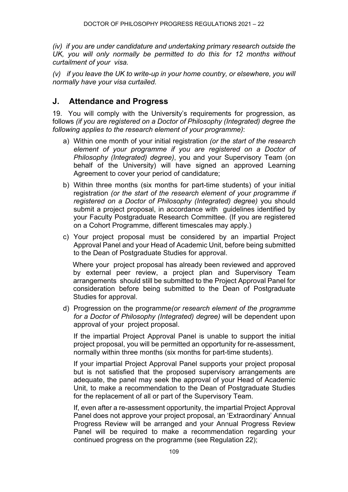*(iv) if you are under candidature and undertaking primary research outside the UK, you will only normally be permitted to do this for 12 months without curtailment of your visa.*

*(v) if you leave the UK to write-up in your home country, or elsewhere, you will normally have your visa curtailed.*

### **J. Attendance and Progress**

19. You will comply with the University's requirements for progression, as follows *(if you are registered on a Doctor of Philosophy (Integrated) degree the following applies to the research element of your programme)*:

- a) Within one month of your initial registration *(or the start of the research element of your programme if you are registered on a Doctor of Philosophy (Integrated) degree)*, you and your Supervisory Team (on behalf of the University) will have signed an approved Learning Agreement to cover your period of candidature;
- b) Within three months (six months for part-time students) of your initial registration *(or the start of the research element of your programme if registered on a Doctor of Philosophy (Integrated) degree)* you should submit a project proposal, in accordance with guidelines identified by your Faculty Postgraduate Research Committee. (If you are registered on a Cohort Programme, different timescales may apply.)
- c) Your project proposal must be considered by an impartial Project Approval Panel and your Head of Academic Unit, before being submitted to the Dean of Postgraduate Studies for approval.

 Where your project proposal has already been reviewed and approved by external peer review, a project plan and Supervisory Team arrangements should still be submitted to the Project Approval Panel for consideration before being submitted to the Dean of Postgraduate Studies for approval.

d) Progression on the programme*(or research element of the programme for a Doctor of Philosophy (Integrated) degree)* will be dependent upon approval of your project proposal.

If the impartial Project Approval Panel is unable to support the initial project proposal, you will be permitted an opportunity for re-assessment, normally within three months (six months for part-time students).

If your impartial Project Approval Panel supports your project proposal but is not satisfied that the proposed supervisory arrangements are adequate, the panel may seek the approval of your Head of Academic Unit, to make a recommendation to the Dean of Postgraduate Studies for the replacement of all or part of the Supervisory Team.

If, even after a re-assessment opportunity, the impartial Project Approval Panel does not approve your project proposal, an 'Extraordinary' Annual Progress Review will be arranged and your Annual Progress Review Panel will be required to make a recommendation regarding your continued progress on the programme (see Regulation 22);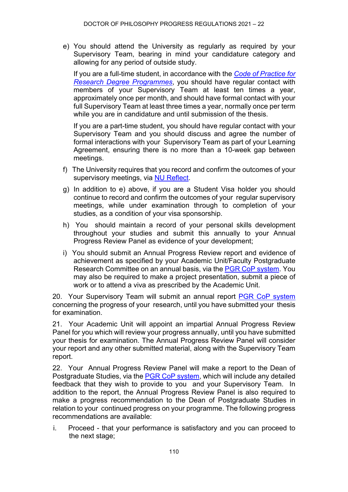e) You should attend the University as regularly as required by your Supervisory Team, bearing in mind your candidature category and allowing for any period of outside study.

If you are a full-time student, in accordance with the *[Code of Practice for](https://www.ncl.ac.uk/student-progress/pgr/publications/)  [Research Degree Programmes](https://www.ncl.ac.uk/student-progress/pgr/publications/)*, you should have regular contact with members of your Supervisory Team at least ten times a year, approximately once per month, and should have formal contact with your full Supervisory Team at least three times a year, normally once per term while you are in candidature and until submission of the thesis.

If you are a part-time student, you should have regular contact with your Supervisory Team and you should discuss and agree the number of formal interactions with your Supervisory Team as part of your Learning Agreement, ensuring there is no more than a 10-week gap between meetings.

- f) The University requires that you record and confirm the outcomes of your supervisory meetings, via [NU Reflect.](https://reflect.ncl.ac.uk/)
- g) In addition to e) above, if you are a Student Visa holder you should continue to record and confirm the outcomes of your regular supervisory meetings, while under examination through to completion of your studies, as a condition of your visa sponsorship.
- h) You should maintain a record of your personal skills development throughout your studies and submit this annually to your Annual Progress Review Panel as evidence of your development;
- i) You should submit an Annual Progress Review report and evidence of achievement as specified by your Academic Unit/Faculty Postgraduate Research Committee on an annual basis, via the [PGR CoP system.](http://postgrad.ncl.ac.uk/) You may also be required to make a project presentation, submit a piece of work or to attend a viva as prescribed by the Academic Unit.

20. Your Supervisory Team will submit an annual report [PGR CoP system](http://postgrad.ncl.ac.uk/) concerning the progress of your research, until you have submitted your thesis for examination.

21. Your Academic Unit will appoint an impartial Annual Progress Review Panel for you which will review your progress annually, until you have submitted your thesis for examination. The Annual Progress Review Panel will consider your report and any other submitted material, along with the Supervisory Team report.

22. Your Annual Progress Review Panel will make a report to the Dean of Postgraduate Studies, via the **PGR CoP system**, which will include any detailed feedback that they wish to provide to you and your Supervisory Team. In addition to the report, the Annual Progress Review Panel is also required to make a progress recommendation to the Dean of Postgraduate Studies in relation to your continued progress on your programme. The following progress recommendations are available:

i. Proceed - that your performance is satisfactory and you can proceed to the next stage;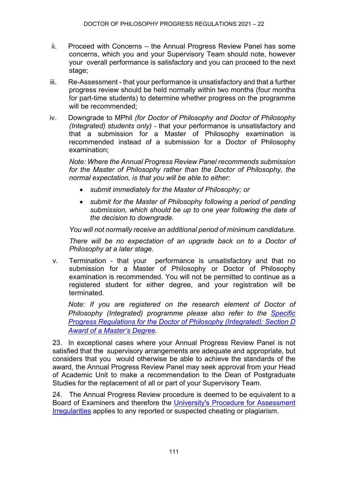- ii. Proceed with Concerns the Annual Progress Review Panel has some concerns, which you and your Supervisory Team should note, however your overall performance is satisfactory and you can proceed to the next stage;
- iii. Re-Assessment that your performance is unsatisfactory and that a further progress review should be held normally within two months (four months for part-time students) to determine whether progress on the programme will be recommended;
- iv. Downgrade to MPhil *(for Doctor of Philosophy and Doctor of Philosophy (Integrated) students only)* - that your performance is unsatisfactory and that a submission for a Master of Philosophy examination is recommended instead of a submission for a Doctor of Philosophy examination;

*Note: Where the Annual Progress Review Panel recommends submission for the Master of Philosophy rather than the Doctor of Philosophy, the normal expectation, is that you will be able to either:* 

- *submit immediately for the Master of Philosophy; or*
- *submit for the Master of Philosophy following a period of pending submission, which should be up to one year following the date of the decision to downgrade.*

*You will not normally receive an additional period of minimum candidature.*

*There will be no expectation of an upgrade back on to a Doctor of Philosophy at a later stage.*

v. Termination - that your performance is unsatisfactory and that no submission for a Master of Philosophy or Doctor of Philosophy examination is recommended. You will not be permitted to continue as a registered student for either degree, and your registration will be terminated.

*Note: If you are registered on the research element of Doctor of Philosophy (Integrated) programme please also refer to the [Specific](https://www.ncl.ac.uk/regulations/docs/)  [Progress Regulations for the Doctor of Philosophy \(Integrated\): Section](https://www.ncl.ac.uk/regulations/docs/) D [Award of a Master's Degree.](https://www.ncl.ac.uk/regulations/docs/)*

23. In exceptional cases where your Annual Progress Review Panel is not satisfied that the supervisory arrangements are adequate and appropriate, but considers that you would otherwise be able to achieve the standards of the award, the Annual Progress Review Panel may seek approval from your Head of Academic Unit to make a recommendation to the Dean of Postgraduate Studies for the replacement of all or part of your Supervisory Team.

24. The Annual Progress Review procedure is deemed to be equivalent to a Board of Examiners and therefore the [University's Procedure for Assessment](https://www.ncl.ac.uk/students/progress/Regulations/Procedures/assessment.htm)  [Irregularities](https://www.ncl.ac.uk/students/progress/Regulations/Procedures/assessment.htm) applies to any reported or suspected cheating or plagiarism.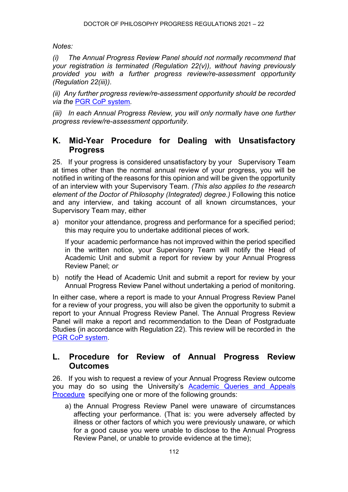*Notes:*

*(i) The Annual Progress Review Panel should not normally recommend that your registration is terminated (Regulation 22(v)), without having previously provided you with a further progress review/re-assessment opportunity (Regulation 22(iii)).* 

*(ii) Any further progress review/re-assessment opportunity should be recorded via the* [PGR CoP system](http://postgrad.ncl.ac.uk/)*.*

*(iii) In each Annual Progress Review, you will only normally have one further progress review/re-assessment opportunity.*

### **K. Mid-Year Procedure for Dealing with Unsatisfactory Progress**

25. If your progress is considered unsatisfactory by your Supervisory Team at times other than the normal annual review of your progress, you will be notified in writing of the reasons for this opinion and will be given the opportunity of an interview with your Supervisory Team. *(This also applies to the research element of the Doctor of Philosophy (Integrated) degree.)* Following this notice and any interview, and taking account of all known circumstances, your Supervisory Team may, either

a) monitor your attendance, progress and performance for a specified period; this may require you to undertake additional pieces of work.

If your academic performance has not improved within the period specified in the written notice, your Supervisory Team will notify the Head of Academic Unit and submit a report for review by your Annual Progress Review Panel; *or*

b) notify the Head of Academic Unit and submit a report for review by your Annual Progress Review Panel without undertaking a period of monitoring.

In either case, where a report is made to your Annual Progress Review Panel for a review of your progress, you will also be given the opportunity to submit a report to your Annual Progress Review Panel. The Annual Progress Review Panel will make a report and recommendation to the Dean of Postgraduate Studies (in accordance with Regulation 22). This review will be recorded in the [PGR CoP system.](http://postgrad.ncl.ac.uk/)

#### **L. Procedure for Review of Annual Progress Review Outcomes**

26. If you wish to request a review of your Annual Progress Review outcome you may do so using the University's [Academic Queries and Appeals](https://www.ncl.ac.uk/students/progress/Regulations/Procedures/appeals.htm)  [Procedure](https://www.ncl.ac.uk/students/progress/Regulations/Procedures/appeals.htm) specifying one or more of the following grounds:

a) the Annual Progress Review Panel were unaware of circumstances affecting your performance. (That is: you were adversely affected by illness or other factors of which you were previously unaware, or which for a good cause you were unable to disclose to the Annual Progress Review Panel, or unable to provide evidence at the time);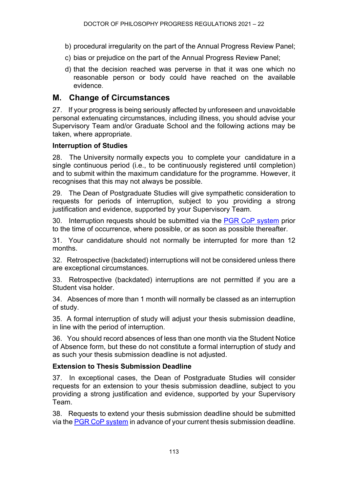- b) procedural irregularity on the part of the Annual Progress Review Panel;
- c) bias or prejudice on the part of the Annual Progress Review Panel;
- d) that the decision reached was perverse in that it was one which no reasonable person or body could have reached on the available evidence.

#### **M. Change of Circumstances**

27. If your progress is being seriously affected by unforeseen and unavoidable personal extenuating circumstances, including illness, you should advise your Supervisory Team and/or Graduate School and the following actions may be taken, where appropriate.

#### **Interruption of Studies**

28. The University normally expects you to complete your candidature in a single continuous period (i.e., to be continuously registered until completion) and to submit within the maximum candidature for the programme. However, it recognises that this may not always be possible.

29. The Dean of Postgraduate Studies will give sympathetic consideration to requests for periods of interruption, subject to you providing a strong justification and evidence, supported by your Supervisory Team.

30. Interruption requests should be submitted via the [PGR CoP system](http://postgrad.ncl.ac.uk/) prior to the time of occurrence, where possible, or as soon as possible thereafter.

31. Your candidature should not normally be interrupted for more than 12 months.

32. Retrospective (backdated) interruptions will not be considered unless there are exceptional circumstances.

33. Retrospective (backdated) interruptions are not permitted if you are a Student visa holder.

34. Absences of more than 1 month will normally be classed as an interruption of study.

35.A formal interruption of study will adjust your thesis submission deadline, in line with the period of interruption.

36. You should record absences of less than one month via the Student Notice of Absence form, but these do not constitute a formal interruption of study and as such your thesis submission deadline is not adjusted.

#### **Extension to Thesis Submission Deadline**

37. In exceptional cases, the Dean of Postgraduate Studies will consider requests for an extension to your thesis submission deadline, subject to you providing a strong justification and evidence, supported by your Supervisory Team.

38. Requests to extend your thesis submission deadline should be submitted via the [PGR CoP system](http://postgrad.ncl.ac.uk/) in advance of your current thesis submission deadline.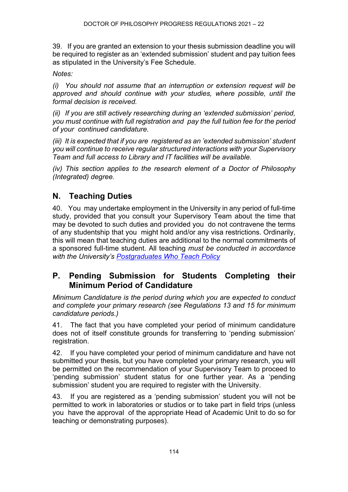39. If you are granted an extension to your thesis submission deadline you will be required to register as an 'extended submission' student and pay tuition fees as stipulated in the University's Fee Schedule.

*Notes:*

*(i) You should not assume that an interruption or extension request will be approved and should continue with your studies, where possible, until the formal decision is received.*

*(ii) If you are still actively researching during an 'extended submission' period, you must continue with full registration and pay the full tuition fee for the period of your continued candidature.*

*(iii) It is expected that if you are registered as an 'extended submission' student you will continue to receive regular structured interactions with your Supervisory Team and full access to Library and IT facilities will be available.*

*(iv) This section applies to the research element of a Doctor of Philosophy (Integrated) degree.*

### **N. Teaching Duties**

40. You may undertake employment in the University in any period of full-time study, provided that you consult your Supervisory Team about the time that may be devoted to such duties and provided you do not contravene the terms of any studentship that you might hold and/or any visa restrictions. Ordinarily, this will mean that teaching duties are additional to the normal commitments of a sponsored full-time student. All teaching *must be conducted in accordance with the University's [Postgraduates Who Teach Policy](https://www.ncl.ac.uk/students/progress/student-resources/PGR/FormsPolicies.htm)*

### **P. Pending Submission for Students Completing their Minimum Period of Candidature**

*Minimum Candidature is the period during which you are expected to conduct and complete your primary research (see Regulations 13 and 15 for minimum candidature periods.)*

41. The fact that you have completed your period of minimum candidature does not of itself constitute grounds for transferring to 'pending submission' registration.

42. If you have completed your period of minimum candidature and have not submitted your thesis, but you have completed your primary research, you will be permitted on the recommendation of your Supervisory Team to proceed to 'pending submission' student status for one further year. As a 'pending submission' student you are required to register with the University.

43. If you are registered as a 'pending submission' student you will not be permitted to work in laboratories or studios or to take part in field trips (unless you have the approval of the appropriate Head of Academic Unit to do so for teaching or demonstrating purposes).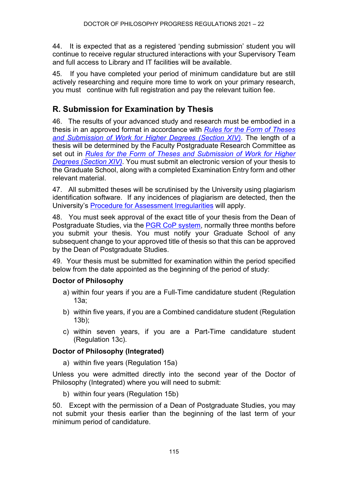44. It is expected that as a registered 'pending submission' student you will continue to receive regular structured interactions with your Supervisory Team and full access to Library and IT facilities will be available.

45*.* If you have completed your period of minimum candidature but are still actively researching and require more time to work on your primary research, you must continue with full registration and pay the relevant tuition fee.

### **R. Submission for Examination by Thesis**

46. The results of your advanced study and research must be embodied in a thesis in an approved format in accordance with *[Rules for the Form of Theses](https://www.ncl.ac.uk/regulations/docs/)  [and Submission of Work for](https://www.ncl.ac.uk/regulations/docs/) Higher Degrees (Section XIV)*. The length of a thesis will be determined by the Faculty Postgraduate Research Committee as set out in *[Rules for the Form of Theses and Submission of Work for](https://www.ncl.ac.uk/regulations/docs/) Higher Degrees [\(Section XIV\)](https://www.ncl.ac.uk/regulations/docs/)*. You must submit an electronic version of your thesis to the Graduate School, along with a completed Examination Entry form and other relevant material.

47. All submitted theses will be scrutinised by the University using plagiarism identification software. If any incidences of plagiarism are detected, then the University's [Procedure for Assessment Irregularities](https://www.ncl.ac.uk/students/progress/Regulations/Procedures/assessment.htm) will apply.

48. You must seek approval of the exact title of your thesis from the Dean of Postgraduate Studies, via the **PGR CoP system**, normally three months before you submit your thesis. You must notify your Graduate School of any subsequent change to your approved title of thesis so that this can be approved by the Dean of Postgraduate Studies.

49. Your thesis must be submitted for examination within the period specified below from the date appointed as the beginning of the period of study:

#### **Doctor of Philosophy**

- a) within four years if you are a Full-Time candidature student (Regulation 13a;
- b) within five years, if you are a Combined candidature student (Regulation 13b);
- c) within seven years, if you are a Part-Time candidature student (Regulation 13c).

#### **Doctor of Philosophy (Integrated)**

a) within five years (Regulation 15a)

Unless you were admitted directly into the second year of the Doctor of Philosophy (Integrated) where you will need to submit:

b) within four years (Regulation 15b)

50. Except with the permission of a Dean of Postgraduate Studies, you may not submit your thesis earlier than the beginning of the last term of your minimum period of candidature.